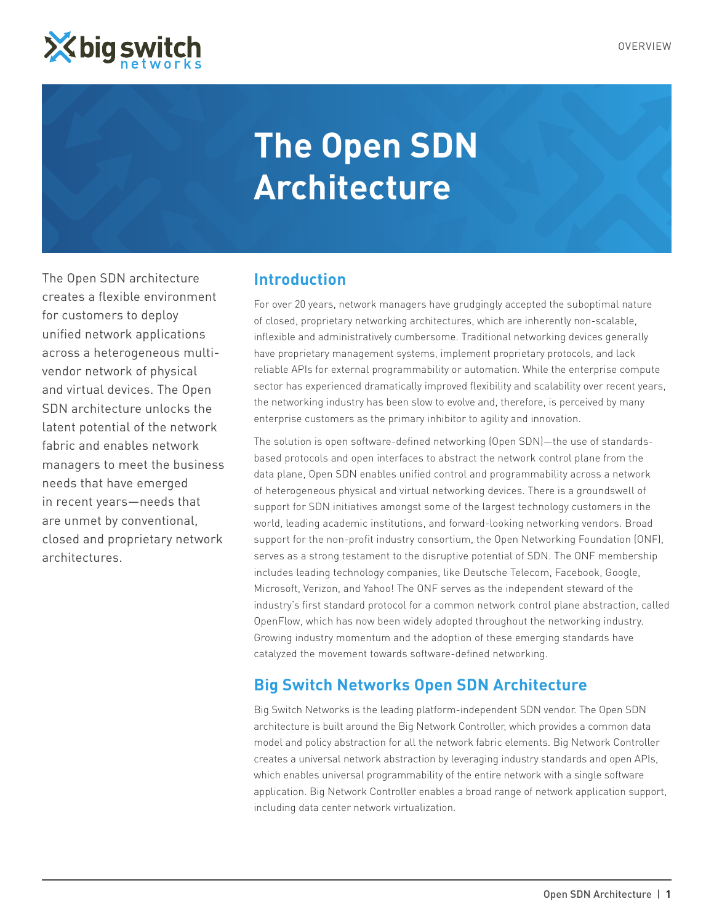

# **The Open SDN Architecture**

The Open SDN architecture creates a flexible environment for customers to deploy unified network applications across a heterogeneous multivendor network of physical and virtual devices. The Open SDN architecture unlocks the latent potential of the network fabric and enables network managers to meet the business needs that have emerged in recent years—needs that are unmet by conventional, closed and proprietary network architectures.

# **Introduction**

For over 20 years, network managers have grudgingly accepted the suboptimal nature of closed, proprietary networking architectures, which are inherently non-scalable, inflexible and administratively cumbersome. Traditional networking devices generally have proprietary management systems, implement proprietary protocols, and lack reliable APIs for external programmability or automation. While the enterprise compute sector has experienced dramatically improved flexibility and scalability over recent years, the networking industry has been slow to evolve and, therefore, is perceived by many enterprise customers as the primary inhibitor to agility and innovation.

The solution is open software-defined networking (Open SDN)—the use of standardsbased protocols and open interfaces to abstract the network control plane from the data plane, Open SDN enables unified control and programmability across a network of heterogeneous physical and virtual networking devices. There is a groundswell of support for SDN initiatives amongst some of the largest technology customers in the world, leading academic institutions, and forward-looking networking vendors. Broad support for the non-profit industry consortium, the Open Networking Foundation (ONF), serves as a strong testament to the disruptive potential of SDN. The ONF membership includes leading technology companies, like Deutsche Telecom, Facebook, Google, Microsoft, Verizon, and Yahoo! The ONF serves as the independent steward of the industry's first standard protocol for a common network control plane abstraction, called OpenFlow, which has now been widely adopted throughout the networking industry. Growing industry momentum and the adoption of these emerging standards have catalyzed the movement towards software-defined networking.

# **Big Switch Networks Open SDN Architecture**

Big Switch Networks is the leading platform-independent SDN vendor. The Open SDN architecture is built around the Big Network Controller, which provides a common data model and policy abstraction for all the network fabric elements. Big Network Controller creates a universal network abstraction by leveraging industry standards and open APIs, which enables universal programmability of the entire network with a single software application. Big Network Controller enables a broad range of network application support, including data center network virtualization.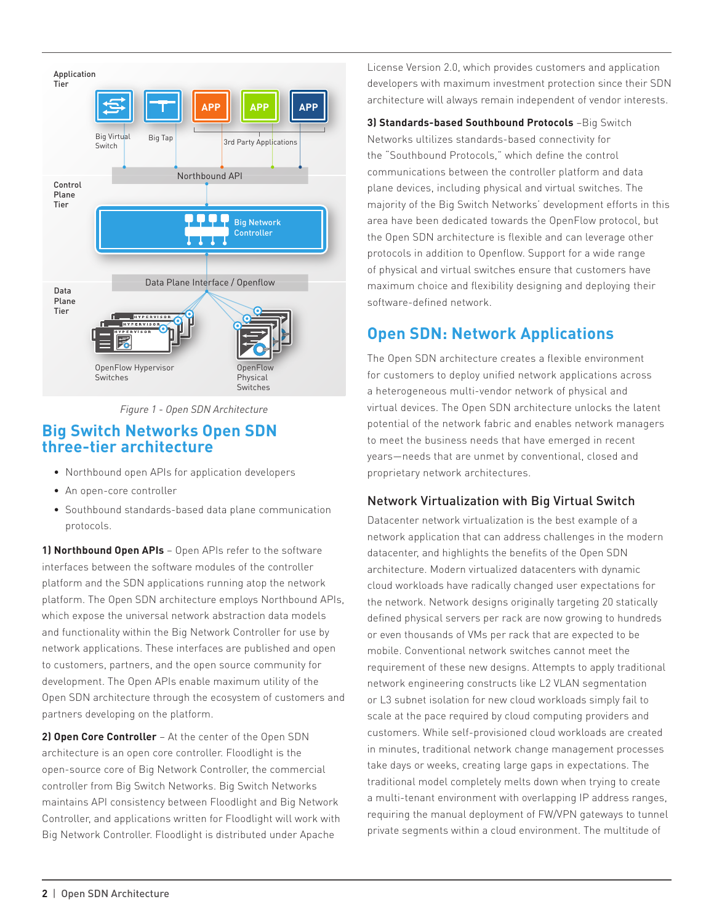



## **Big Switch Networks Open SDN three-tier architecture**

- • Northbound open APIs for application developers
- An open-core controller
- Southbound standards-based data plane communication protocols.

**1) Northbound Open APIs** – Open APIs refer to the software interfaces between the software modules of the controller platform and the SDN applications running atop the network platform. The Open SDN architecture employs Northbound APIs, which expose the universal network abstraction data models and functionality within the Big Network Controller for use by network applications. These interfaces are published and open to customers, partners, and the open source community for development. The Open APIs enable maximum utility of the Open SDN architecture through the ecosystem of customers and partners developing on the platform.

**2) Open Core Controller** – At the center of the Open SDN architecture is an open core controller. Floodlight is the open-source core of Big Network Controller, the commercial controller from Big Switch Networks. Big Switch Networks maintains API consistency between Floodlight and Big Network Controller, and applications written for Floodlight will work with Big Network Controller. Floodlight is distributed under Apache

License Version 2.0, which provides customers and application developers with maximum investment protection since their SDN architecture will always remain independent of vendor interests.

**3) Standards-based Southbound Protocols** –Big Switch Networks ultilizes standards-based connectivity for the "Southbound Protocols," which define the control communications between the controller platform and data plane devices, including physical and virtual switches. The majority of the Big Switch Networks' development efforts in this area have been dedicated towards the OpenFlow protocol, but the Open SDN architecture is flexible and can leverage other protocols in addition to Openflow. Support for a wide range of physical and virtual switches ensure that customers have maximum choice and flexibility designing and deploying their software-defined network.

# **Open SDN: Network Applications**

The Open SDN architecture creates a flexible environment for customers to deploy unified network applications across a heterogeneous multi-vendor network of physical and virtual devices. The Open SDN architecture unlocks the latent potential of the network fabric and enables network managers to meet the business needs that have emerged in recent years—needs that are unmet by conventional, closed and proprietary network architectures.

## Network Virtualization with Big Virtual Switch

Datacenter network virtualization is the best example of a network application that can address challenges in the modern datacenter, and highlights the benefits of the Open SDN architecture. Modern virtualized datacenters with dynamic cloud workloads have radically changed user expectations for the network. Network designs originally targeting 20 statically defined physical servers per rack are now growing to hundreds or even thousands of VMs per rack that are expected to be mobile. Conventional network switches cannot meet the requirement of these new designs. Attempts to apply traditional network engineering constructs like L2 VLAN segmentation or L3 subnet isolation for new cloud workloads simply fail to scale at the pace required by cloud computing providers and customers. While self-provisioned cloud workloads are created in minutes, traditional network change management processes take days or weeks, creating large gaps in expectations. The traditional model completely melts down when trying to create a multi-tenant environment with overlapping IP address ranges, requiring the manual deployment of FW/VPN gateways to tunnel private segments within a cloud environment. The multitude of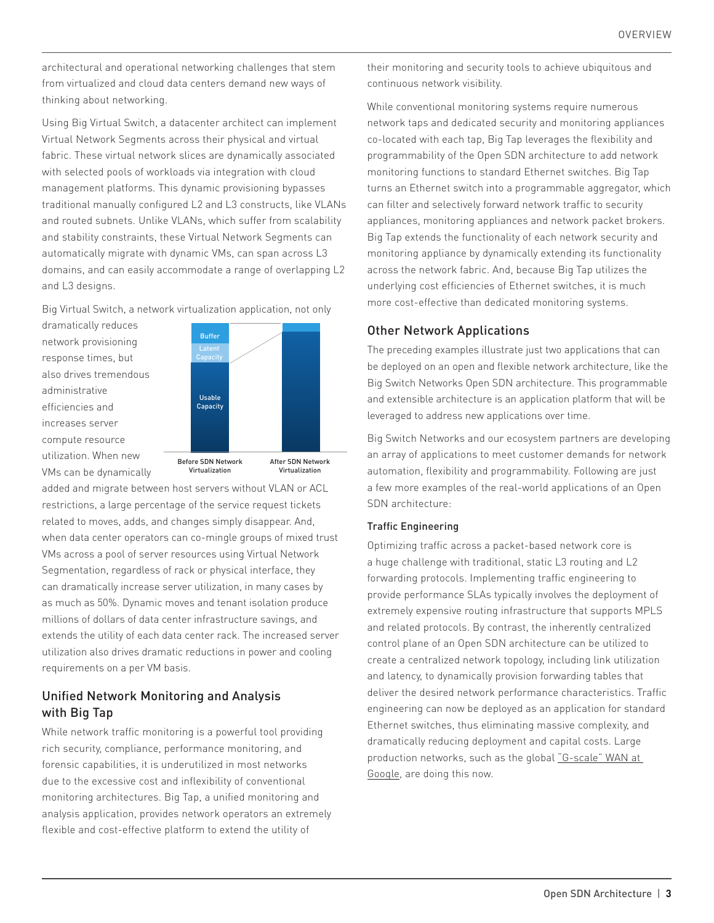architectural and operational networking challenges that stem from virtualized and cloud data centers demand new ways of thinking about networking.

Using Big Virtual Switch, a datacenter architect can implement Virtual Network Segments across their physical and virtual fabric. These virtual network slices are dynamically associated with selected pools of workloads via integration with cloud management platforms. This dynamic provisioning bypasses traditional manually configured L2 and L3 constructs, like VLANs and routed subnets. Unlike VLANs, which suffer from scalability and stability constraints, these Virtual Network Segments can automatically migrate with dynamic VMs, can span across L3 domains, and can easily accommodate a range of overlapping L2 and L3 designs.

Big Virtual Switch, a network virtualization application, not only

dramatically reduces network provisioning response times, but also drives tremendous administrative efficiencies and increases server compute resource utilization. When new



VMs can be dynamically

After SDN Network Virtualization

added and migrate between host servers without VLAN or ACL restrictions, a large percentage of the service request tickets related to moves, adds, and changes simply disappear. And, when data center operators can co-mingle groups of mixed trust VMs across a pool of server resources using Virtual Network Segmentation, regardless of rack or physical interface, they can dramatically increase server utilization, in many cases by as much as 50%. Dynamic moves and tenant isolation produce millions of dollars of data center infrastructure savings, and extends the utility of each data center rack. The increased server utilization also drives dramatic reductions in power and cooling requirements on a per VM basis.

Virtualization

## Unified Network Monitoring and Analysis with Big Tap

While network traffic monitoring is a powerful tool providing rich security, compliance, performance monitoring, and forensic capabilities, it is underutilized in most networks due to the excessive cost and inflexibility of conventional monitoring architectures. Big Tap, a unified monitoring and analysis application, provides network operators an extremely flexible and cost-effective platform to extend the utility of

their monitoring and security tools to achieve ubiquitous and continuous network visibility.

While conventional monitoring systems require numerous network taps and dedicated security and monitoring appliances co-located with each tap, Big Tap leverages the flexibility and programmability of the Open SDN architecture to add network monitoring functions to standard Ethernet switches. Big Tap turns an Ethernet switch into a programmable aggregator, which can filter and selectively forward network traffic to security appliances, monitoring appliances and network packet brokers. Big Tap extends the functionality of each network security and monitoring appliance by dynamically extending its functionality across the network fabric. And, because Big Tap utilizes the underlying cost efficiencies of Ethernet switches, it is much more cost-effective than dedicated monitoring systems.

### Other Network Applications

The preceding examples illustrate just two applications that can be deployed on an open and flexible network architecture, like the Big Switch Networks Open SDN architecture. This programmable and extensible architecture is an application platform that will be leveraged to address new applications over time.

Big Switch Networks and our ecosystem partners are developing an array of applications to meet customer demands for network automation, flexibility and programmability. Following are just a few more examples of the real-world applications of an Open SDN architecture:

#### Traffic Engineering

Optimizing traffic across a packet-based network core is a huge challenge with traditional, static L3 routing and L2 forwarding protocols. Implementing traffic engineering to provide performance SLAs typically involves the deployment of extremely expensive routing infrastructure that supports MPLS and related protocols. By contrast, the inherently centralized control plane of an Open SDN architecture can be utilized to create a centralized network topology, including link utilization and latency, to dynamically provision forwarding tables that deliver the desired network performance characteristics. Traffic engineering can now be deployed as an application for standard Ethernet switches, thus eliminating massive complexity, and dramatically reducing deployment and capital costs. Large production networks, such as the global "G-scale" WAN at Google, are doing this now.